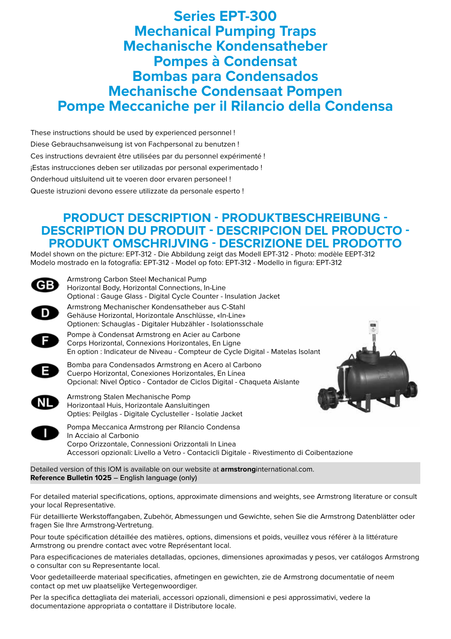# **Series EPT-300 Mechanical Pumping Traps Mechanische Kondensatheber Pompes à Condensat Bombas para Condensados Mechanische Condensaat Pompen Pompe Meccaniche per il Rilancio della Condensa**

These instructions should be used by experienced personnel ! Diese Gebrauchsanweisung ist von Fachpersonal zu benutzen ! Ces instructions devraient être utilisées par du personnel expérimenté ! ¡Estas instrucciones deben ser utilizadas por personal experimentado ! Onderhoud uitsluitend uit te voeren door ervaren personeel ! Queste istruzioni devono essere utilizzate da personale esperto !

# **PRODUCT DESCRIPTION - PRODUKTBESCHREIBUNG - DESCRIPTION DU PRODUIT - DESCRIPCION DEL PRODUCTO - PRODUKT OMSCHRIJVING - DESCRIZIONE DEL PRODOTTO**

Model shown on the picture: EPT-312 - Die Abbildung zeigt das Modell EPT-312 - Photo: modèle EEPT-312 Modelo mostrado en la fotografía: EPT-312 - Model op foto: EPT-312 - Modello in figura: EPT-312



Detailed version of this IOM is available on our website at **armstrong**international.com. **Reference Bulletin 1025** – English language (only)

For detailed material specifications, options, approximate dimensions and weights, see Armstrong literature or consult your local Representative.

Für detaillierte Werkstoffangaben, Zubehör, Abmessungen und Gewichte, sehen Sie die Armstrong Datenblätter oder fragen Sie Ihre Armstrong-Vertretung.

Pour toute spécification détaillée des matières, options, dimensions et poids, veuillez vous référer à la littérature Armstrong ou prendre contact avec votre Représentant local.

Para especificaciones de materiales detalladas, opciones, dimensiones aproximadas y pesos, ver catálogos Armstrong o consultar con su Representante local.

Voor gedetailleerde materiaal specificaties, afmetingen en gewichten, zie de Armstrong documentatie of neem contact op met uw plaatselijke Vertegenwoordiger.

Per la specifica dettagliata dei materiali, accessori opzionali, dimensioni e pesi approssimativi, vedere la documentazione appropriata o contattare il Distributore locale.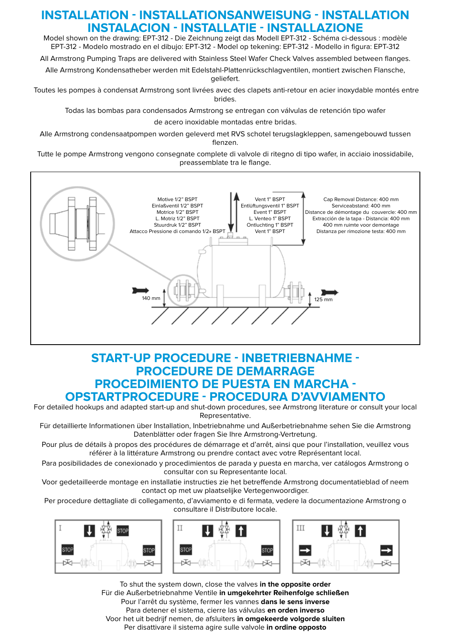# **INSTALLATION - INSTALLATIONSANWEISUNG - INSTALLATION INSTALACION - INSTALLATIE - INSTALLAZIONE**

Model shown on the drawing: EPT-312 - Die Zeichnung zeigt das Modell EPT-312 - Schéma ci-dessous : modèle EPT-312 - Modelo mostrado en el dibujo: EPT-312 - Model op tekening: EPT-312 - Modello in figura: EPT-312

All Armstrong Pumping Traps are delivered with Stainless Steel Wafer Check Valves assembled between flanges.

Alle Armstrong Kondensatheber werden mit Edelstahl-Plattenrückschlagventilen, montiert zwischen Flansche, geliefert.

 Toutes les pompes à condensat Armstrong sont livrées avec des clapets anti-retour en acier inoxydable montés entre brides.

Todas las bombas para condensados Armstrong se entregan con válvulas de retención tipo wafer

de acero inoxidable montadas entre bridas.

Alle Armstrong condensaatpompen worden geleverd met RVS schotel terugslagkleppen, samengebouwd tussen flenzen.

Tutte le pompe Armstrong vengono consegnate complete di valvole di ritegno di tipo wafer, in acciaio inossidabile, preassemblate tra le flange.



# **START-UP PROCEDURE - INBETRIEBNAHME - PROCEDURE DE DEMARRAGE PROCEDIMIENTO DE PUESTA EN MARCHA - OPSTARTPROCEDURE - PROCEDURA D'AVVIAMENTO**

For detailed hookups and adapted start-up and shut-down procedures, see Armstrong literature or consult your local Representative.

Für detaillierte Informationen über Installation, Inbetriebnahme und Außerbetriebnahme sehen Sie die Armstrong Datenblätter oder fragen Sie Ihre Armstrong-Vertretung.

Pour plus de détails à propos des procédures de démarrage et d'arrêt, ainsi que pour l'installation, veuillez vous référer à la littérature Armstrong ou prendre contact avec votre Représentant local.

Para posibilidades de conexionado y procedimientos de parada y puesta en marcha, ver catálogos Armstrong o consultar con su Representante local.

Voor gedetailleerde montage en installatie instructies zie het betreffende Armstrong documentatieblad of neem contact op met uw plaatselijke Vertegenwoordiger.

Per procedure dettagliate di collegamento, d'avviamento e di fermata, vedere la documentazione Armstrong o consultare il Distributore locale.



To shut the system down, close the valves **in the opposite order** Für die Außerbetriebnahme Ventile **in umgekehrter Reihenfolge schließen** Pour l'arrêt du système, fermer les vannes **dans le sens inverse** Para detener el sistema, cierre las válvulas **en orden inverso** Voor het uit bedrijf nemen, de afsluiters **in omgekeerde volgorde sluiten** Per disattivare il sistema agire sulle valvole **in ordine opposto**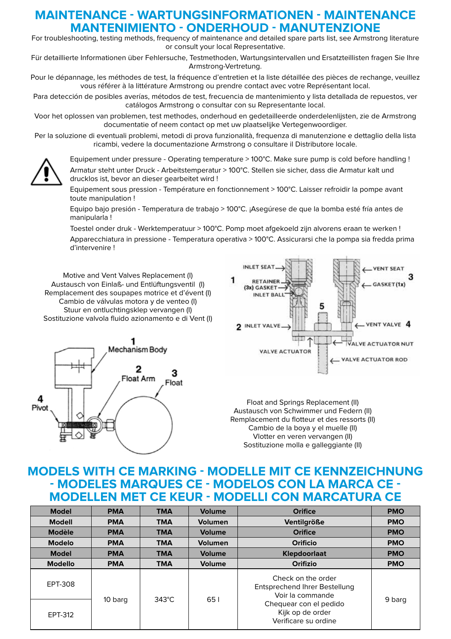# **MAINTENANCE - WARTUNGSINFORMATIONEN - MAINTENANCE MANTENIMIENTO - ONDERHOUD - MANUTENZIONE**

For troubleshooting, testing methods, frequency of maintenance and detailed spare parts list, see Armstrong literature or consult your local Representative.

Für detaillierte Informationen über Fehlersuche, Testmethoden, Wartungsintervallen und Ersatzteillisten fragen Sie Ihre Armstrong-Vertretung.

Pour le dépannage, les méthodes de test, la fréquence d'entretien et la liste détaillée des pièces de rechange, veuillez vous référer à la littérature Armstrong ou prendre contact avec votre Représentant local.

Para detección de posibles averías, métodos de test, frecuencia de mantenimiento y lista detallada de repuestos, ver catálogos Armstrong o consultar con su Representante local.

Voor het oplossen van problemen, test methodes, onderhoud en gedetailleerde onderdelenlijsten, zie de Armstrong documentatie of neem contact op met uw plaatselijke Vertegenwoordiger.

Per la soluzione di eventuali problemi, metodi di prova funzionalità, frequenza di manutenzione e dettaglio della lista ricambi, vedere la documentazione Armstrong o consultare il Distributore locale.



Equipement under pressure - Operating temperature > 100°C. Make sure pump is cold before handling ! Armatur steht unter Druck - Arbeitstemperatur > 100°C. Stellen sie sicher, dass die Armatur kalt und drucklos ist, bevor an dieser gearbeitet wird !

Equipement sous pression - Température en fonctionnement > 100°C. Laisser refroidir la pompe avant toute manipulation !

Equipo bajo presión - Temperatura de trabajo > 100°C. ¡Asegúrese de que la bomba esté fría antes de manipularla !

Toestel onder druk - Werktemperatuur > 100°C. Pomp moet afgekoeld zijn alvorens eraan te werken !

Apparecchiatura in pressione - Temperatura operativa > 100°C. Assicurarsi che la pompa sia fredda prima d'intervenire !

Motive and Vent Valves Replacement (I) Austausch von Einlaß- und Entlüftungsventil (I) Remplacement des soupapes motrice et d'évent (I) Cambio de válvulas motora y de venteo (I) Stuur en ontluchtingsklep vervangen (I) Sostituzione valvola fluido azionamento e di Vent (I)





Float and Springs Replacement (II) Austausch von Schwimmer und Federn (II) Remplacement du flotteur et des ressorts (II) Cambio de la boya y el muelle (II) Vlotter en veren vervangen (II) Sostituzione molla e galleggiante (II)

# **MODELS WITH CE MARKING - MODELLE MIT CE KENNZEICHNUNG - MODELES MARQUES CE - MODELOS CON LA MARCA CE - MODELLEN MET CE KEUR - MODELLI CON MARCATURA CE**

| <b>Model</b>   | <b>PMA</b> | <b>TMA</b>      | <b>Volume</b>  | <b>Orifice</b>                                                                                                                                | <b>PMO</b> |
|----------------|------------|-----------------|----------------|-----------------------------------------------------------------------------------------------------------------------------------------------|------------|
| <b>Modell</b>  | <b>PMA</b> | <b>TMA</b>      | Volumen        | <b>Ventilgröße</b>                                                                                                                            | <b>PMO</b> |
| Modèle         | <b>PMA</b> | <b>TMA</b>      | Volume         | <b>Orifice</b>                                                                                                                                | <b>PMO</b> |
| <b>Modelo</b>  | <b>PMA</b> | <b>TMA</b>      | <b>Volumen</b> | Orificio                                                                                                                                      | <b>PMO</b> |
| <b>Model</b>   | <b>PMA</b> | <b>TMA</b>      | Volume         | Klepdoorlaat                                                                                                                                  | <b>PMO</b> |
| <b>Modello</b> | <b>PMA</b> | <b>TMA</b>      | <b>Volume</b>  | Orifizio                                                                                                                                      | <b>PMO</b> |
| EPT-308        | 10 barg    | $343^{\circ}$ C | 651            | Check on the order<br>Entsprechend Ihrer Bestellung<br>Voir la commande<br>Chequear con el pedido<br>Kijk op de order<br>Verificare su ordine |            |
| EPT-312        |            |                 |                |                                                                                                                                               | 9 barg     |